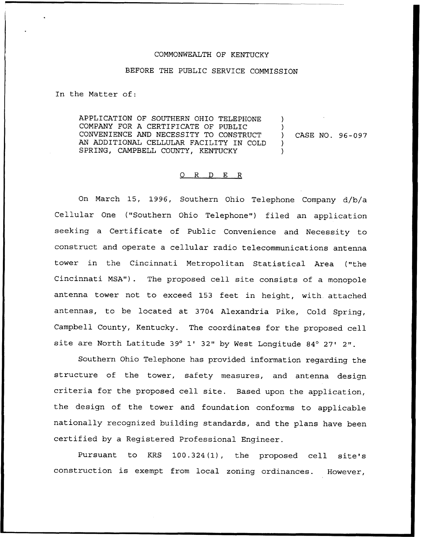## COMMONWEALTH OF KENTUCKY

## BEFORE THE PUBLIC SERVICE COMMISSION

In the Matter of:

APPLICATION OF SOUTHERN OHIO TELEPHONE COMPANY FOR A CERTIFICATE OF PUBLIC CONVENIENCE AND NECESSITY TO CONSTRUCT AN ADDITIONAL CELLULAR FACILITY IN COLD SPRING, CAMPBELL COUNTY, KENTUCKY ) ) ) CASE NO. 96-097 ) )

## 0 R <sup>D</sup> E R

On March 15, 1996, Southern Ohio Telephone Company d/b/a Cellular One ("Southern Ohio Telephone") filed an application seeking a Certificate of Public Convenience and Necessity to construct and operate a cellular radio telecommunications antenna tower in the Cincinnati Metropolitan Statistical Area ("the Cincinnati MSA"). The proposed cell site consists of a monopole antenna tower not to exceed 153 feet in height, with. attached antennas, to be located at 3704 Alexandria Pike, Cold Spring, Campbell County, Kentucky. The coordinates for the proposed cell site are North Latitude 39° 1' 32" by West Longitude 84° 27' 2".

Southern Ohio Telephone has provided information regarding the structure of the tower, safety measures, and antenna design criteria for the proposed cell site. Based upon the application, the design of the tower and foundation conforms to applicable nationally recognized building standards, and the plans have been certified by a Registered Professional Engineer.

Pursuant to KRS 100.324(1), the proposed cell site's construction is exempt from local zoning ordinances. However,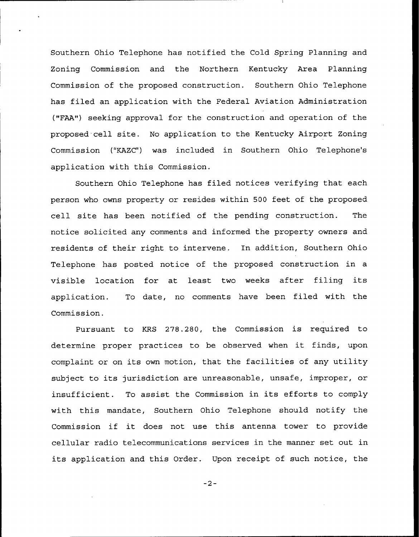Southern Ohio Telephone has notified the Cold Spring Planning and Zoning Commission and the Northern Kentucky Area Planning Commission of the proposed construction. Southern Ohio Telephone has filed an application with the Federal Aviation Administration ("FAA") seeking approval for the construction and operation of the proposed cell site. No application to the Kentucky Airport Zoning Commission ("KAZC") was included in Southern Ohio Telephone's application with this Commission.

Southern Ohio Telephone has filed notices verifying that each person who owns property or resides within 500 feet of the proposed cell site has been notified of the pending construction. The notice solicited any comments and informed the property owners and residents of their right to intervene. In addition, Southern Ohio Telephone has posted notice of the proposed construction in a visible location for at least two weeks after filing its application. To date, no comments have been filed with the Commission.

Pursuant to KRS 278.280, the Commission is required to determine proper practices to be observed when it finds, upon complaint or on its own motion, that the facilities of any utility subject to its jurisdiction are unreasonable, unsafe, improper, or insufficient. To assist the Commission in its efforts to comply with this mandate, Southern Ohio Telephone should notify the Commission if it does not use this antenna tower to provide cellular radio telecommunications services in the manner set out in its application and this Order. Upon receipt of such notice, the

 $-2-$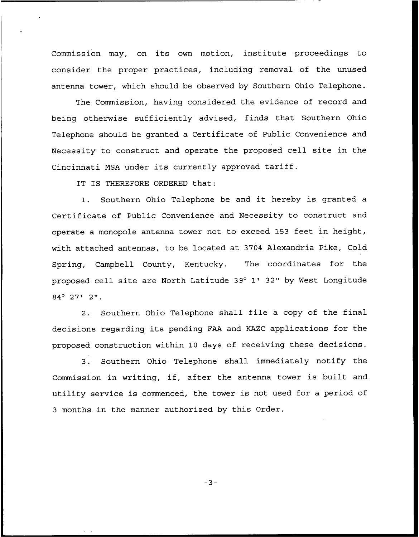Commission may, on its own motion, institute proceedings to consider the proper practices, including removal of the unused antenna tower, which should be observed by Southern Ohio Telephone.

The Commission, having considered the evidence of record and being otherwise sufficiently advised, finds that Southern Ohio Telephone should be granted a Certificate of Public Convenience and Necessity to construct and operate the proposed cell site in the Cincinnati MSA under its currently approved tariff.

IT IS THEREFORE ORDERED that:

1. Southern Ohio Telephone be and it hereby is granted <sup>a</sup> Certificate of Public Convenience and Necessity to construct and operate a monopole antenna tower not to exceed 153 feet in height, with attached antennas, to be located at 3704 Alexandria Pike, Cold Spring, Campbell County, Kentucky. The coordinates for the proposed cell site are North Latitude 39° 1' 32" by West Longitude  $84^{\circ}$  27' 2".

2. Southern Ohio Telephone shall file <sup>a</sup> copy of the final decisions regarding its pending FAA and KAZC applications for the proposed construction within 10 days of receiving these decisions.

3. Southern Ohio Telephone shall immediately notify the Commission in writing, if, after the antenna tower is built and utility service is commenced, the tower is not used for a period of <sup>3</sup> months. in the manner authorized by this Order.

 $-3-$